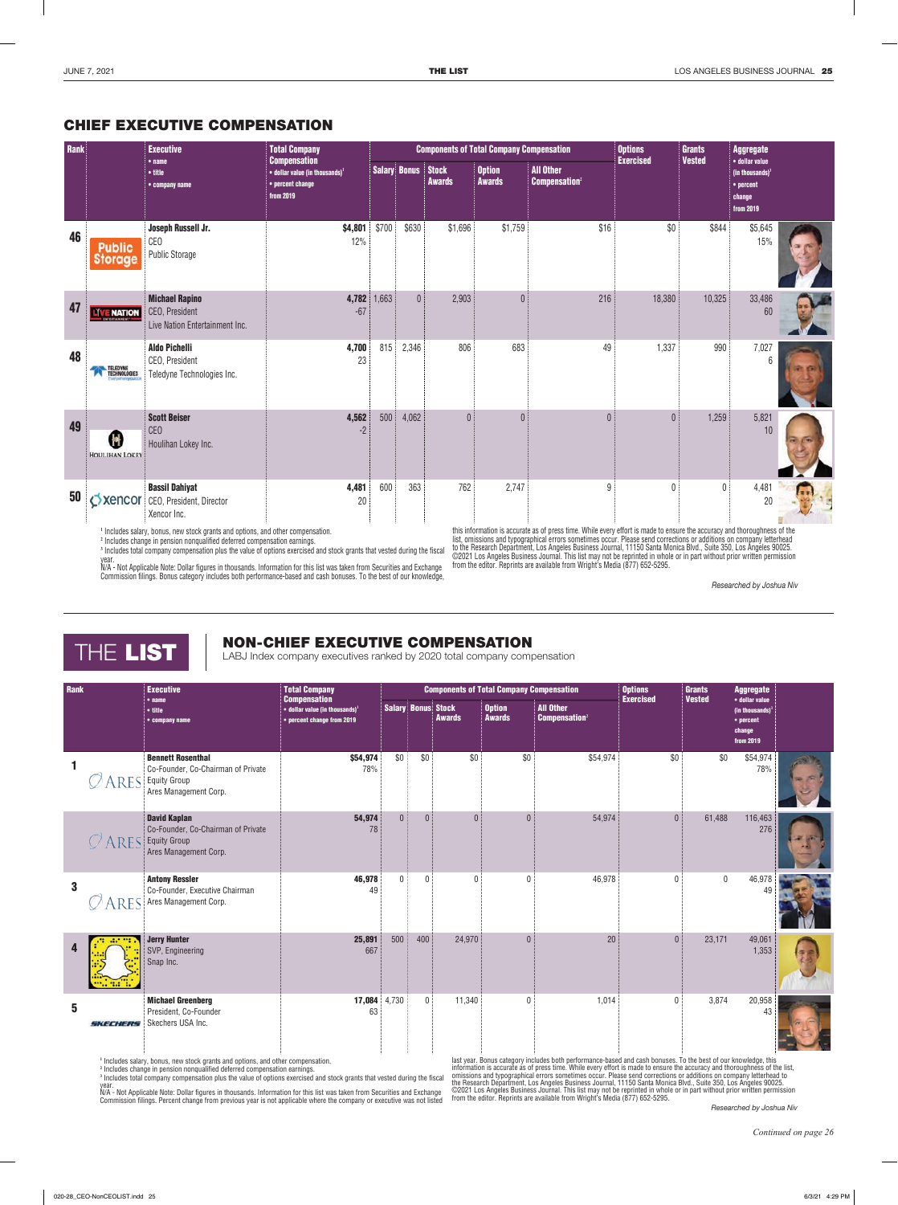

## **THE LIST CABJ Index company executives ranked by 2020 total company compensation** NON-CHIEF EXECUTIVE COMPENSATION

| <b>Rank</b>  |                | <b>Executive</b>                                                                                               | <b>Total Company</b><br><b>Compensation</b>                                      |                           |                |               | <b>Components of Total Company Compensation</b> |                                                      | <b>Options</b><br><b>Exercised</b> | <b>Grants</b><br><b>Vested</b> | <b>Aggregate</b>                                                          |  |
|--------------|----------------|----------------------------------------------------------------------------------------------------------------|----------------------------------------------------------------------------------|---------------------------|----------------|---------------|-------------------------------------------------|------------------------------------------------------|------------------------------------|--------------------------------|---------------------------------------------------------------------------|--|
|              |                | • <sub>name</sub><br>• title<br>• company name                                                                 | $\bullet$ dollar value (in thousands) <sup>1</sup><br>• percent change from 2019 | <b>Salary Bonus Stock</b> |                | <b>Awards</b> | <b>Option</b><br><b>Awards</b>                  | <b>All Other</b><br><b>Compensation</b> <sup>2</sup> |                                    |                                | · dollar value<br>(in thousands) $^3$<br>• percent<br>change<br>from 2019 |  |
| 1            | <b>RES</b>     | <b>Bennett Rosenthal</b><br>Co-Founder, Co-Chairman of Private<br><b>Equity Group</b><br>Ares Management Corp. | \$54,974<br>78%                                                                  | \$0                       | \$0            | \$0           | \$0                                             | \$54,974                                             | \$0                                | \$0                            | \$54,974<br>78%                                                           |  |
|              | $\oslash$ Ares | <b>David Kaplan</b><br>Co-Founder, Co-Chairman of Private<br><b>Equity Group</b><br>Ares Management Corp.      | 54,974<br>78                                                                     | $\overline{0}$            | $\overline{0}$ | $\theta$      | $\theta$                                        | 54,974                                               | $\theta$                           | 61,488                         | 116,463<br>276                                                            |  |
| $\mathbf{3}$ | <b>RES</b>     | <b>Antony Ressler</b><br>Co-Founder, Executive Chairman<br>Ares Management Corp.                               | 46,978<br>49                                                                     | $\mathbf{0}$              | $\Omega$       | $\theta$      | $\Omega$                                        | 46,978                                               | $\Omega$                           | $\mathbf 0$                    | 46,978                                                                    |  |
| Δ            |                | <b>Jerry Hunter</b><br>SVP, Engineering<br>Snap Inc.                                                           | 25,891<br>667                                                                    | 500                       | 400            | 24,970        | $\mathbf{0}$                                    | 20                                                   | $\Omega$                           | 23,171                         | 49,061<br>1,353                                                           |  |
| 5            | SKECHERS       | <b>Michael Greenberg</b><br>President, Co-Founder<br>Skechers USA Inc.                                         | 17,084<br>63                                                                     | 4,730                     | $\mathbf{0}$   | 11,340        | $\mathbf{0}$                                    | 1,014                                                | $\mathbf{0}$                       | 3,874                          | 20,958<br>43                                                              |  |

**<sup>1</sup>** Includes salary, bonus, new stock grants and options, and other compensation.

**<sup>2</sup>** Includes change in pension nonqualified deferred compensation earnings.

**<sup>3</sup>** Includes total company compensation plus the value of options exercised and stock grants that vested during the fiscal year.

N/A - Not Applicable Note: Dollar figures in thousands. Information for this list was taken from Securities and Exchange Commission filings. Percent change from previous year is not applicable where the company or executive was not listed

last year. Bonus category includes both performance-based and cash bonuses. To the best of our knowledge, this<br>information is accurate as of press time. While every effort is made to ensure the accuracy and thoroughness of from the editor. Reprints are available from Wright's Media (877) 652-5295.

*Researched by Joshua Niv*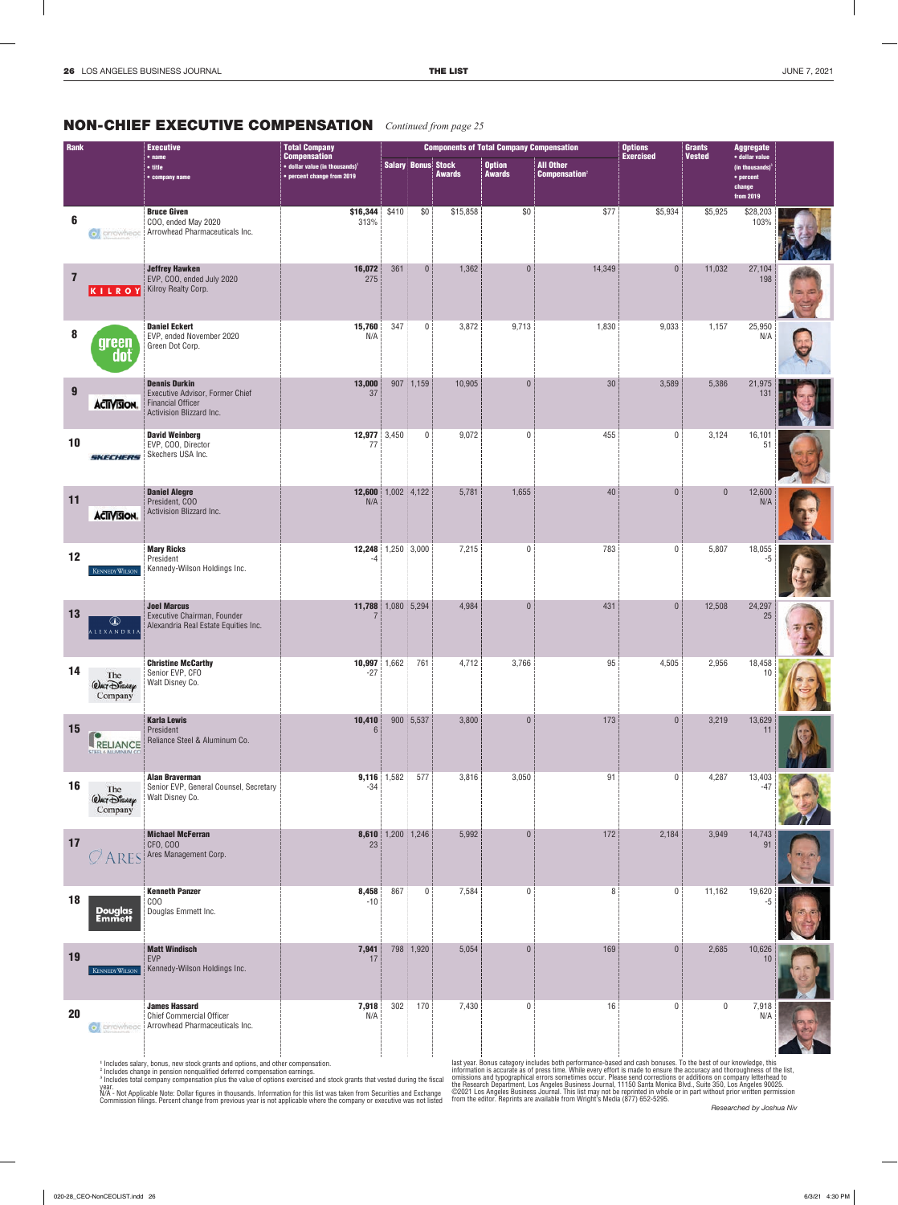## **NON-CHIEF EXECUTIVE COMPENSATION** Continued from page 25

| Rank             |                                             | <b>Executive</b>                                                                                                | <b>Total Company</b>                                                                                    |                          |                           |               | <b>Components of Total Company Compensation</b> |                                                      | <b>Options</b><br><b>Exercised</b> | <b>Grants</b><br><b>Vested</b> | <b>Aggregate</b>                                                         |  |
|------------------|---------------------------------------------|-----------------------------------------------------------------------------------------------------------------|---------------------------------------------------------------------------------------------------------|--------------------------|---------------------------|---------------|-------------------------------------------------|------------------------------------------------------|------------------------------------|--------------------------------|--------------------------------------------------------------------------|--|
|                  |                                             | $•$ name<br>$\bullet$ title<br>• company name                                                                   | <b>Compensation</b><br>$\bullet$ dollar value (in thousands) <sup>1</sup><br>• percent change from 2019 |                          | <b>Salary Bonus Stock</b> | <b>Awards</b> | <b>Option</b><br><b>Awards</b>                  | <b>All Other</b><br><b>Compensation</b> <sup>2</sup> |                                    |                                | · dollar value<br>(in thousands) $3$<br>• percent<br>change<br>from 2019 |  |
| $6\phantom{1}6$  | c, arrowhead                                | <b>Bruce Given</b><br>COO, ended May 2020<br>Arrowhead Pharmaceuticals Inc.                                     | \$16,344<br>313%                                                                                        | \$410                    | \$0                       | \$15,858      | \$0                                             | \$77                                                 | \$5,934                            | \$5,925                        | \$28,203<br>103%                                                         |  |
| $\overline{7}$   | KILROY                                      | <b>Jeffrey Hawken</b><br>EVP, COO, ended July 2020<br>Kilroy Realty Corp.                                       | 16,072<br>275                                                                                           | 361                      | $\mathbf 0$               | 1,362         | $\mathbf 0$                                     | 14,349                                               | $\mathbf{0}$                       | 11,032                         | 27,104<br>198                                                            |  |
| 8                | green<br>aot                                | <b>Daniel Eckert</b><br>EVP, ended November 2020<br>Green Dot Corp.                                             | 15,760<br>N/A                                                                                           | 347                      | 0                         | 3,872         | 9,713                                           | 1,830                                                | 9,033                              | 1,157                          | 25,950<br>N/A                                                            |  |
| $\boldsymbol{9}$ | <b>ACTIVISION.</b>                          | <b>Dennis Durkin</b><br>Executive Advisor, Former Chief<br><b>Financial Officer</b><br>Activision Blizzard Inc. | 13,000<br>37                                                                                            |                          | $907$ 1,159               | 10,905        | $\overline{0}$                                  | 30                                                   | 3,589                              | 5,386                          | 21,975<br>131                                                            |  |
| 10               | SKECHERS                                    | <b>David Weinberg</b><br>EVP, COO, Director<br>Skechers USA Inc.                                                | 12,977<br>77                                                                                            | 3,450                    | $\mathbf 0$               | 9,072         | 0                                               | 455                                                  | $\mathbf 0$                        | 3,124                          | 16,101<br>-51                                                            |  |
| 11               | <b>ACTIVISION.</b>                          | <b>Daniel Alegre</b><br>President, COO<br>Activision Blizzard Inc.                                              | 12,600<br>N/A                                                                                           |                          | $1,002$ 4,122             | 5,781         | 1,655                                           | 40                                                   | $\overline{0}$                     | $\overline{0}$                 | 12,600<br>N/A                                                            |  |
| 12               | <b>KENNEDY WILSON</b>                       | <b>Mary Ricks</b><br>President<br>Kennedy-Wilson Holdings Inc.                                                  | 12,248 1,250 3,000<br>-4                                                                                |                          |                           | 7,215         | 0                                               | 783                                                  | $\mathbf 0$                        | 5,807                          | 18,055<br>-5                                                             |  |
| 13               | Œ<br>ALEXANDRI                              | <b>Joel Marcus</b><br>Executive Chairman, Founder<br>Alexandria Real Estate Equities Inc.                       | 11,788                                                                                                  | 1,080 5,294              |                           | 4,984         | $\overline{0}$                                  | 431                                                  | $\overline{0}$                     | 12,508                         | 24,297<br>25                                                             |  |
| 14               | The<br><b><i>QALT DISNEY</i></b><br>Company | <b>Christine McCarthy</b><br>Senior EVP, CFO<br>Walt Disney Co.                                                 | 10,997<br>$-27$                                                                                         | 1,662                    | 761                       | 4,712         | 3,766                                           | 95                                                   | 4,505                              | 2,956                          | 18,458<br>10                                                             |  |
| 15               | RELIANCE<br><b>STEEL &amp; ALUMINUM CO</b>  | <b>Karla Lewis</b><br>President<br>Reliance Steel & Aluminum Co.                                                | 10,410<br>6                                                                                             |                          | 900 5,537                 | 3,800         | $\overline{0}$                                  | 173                                                  | $\overline{0}$                     | 3,219                          | 13,629<br>11                                                             |  |
| 16               | The<br><b><i>QALT DISNEP</i></b><br>Company | <b>Alan Braverman</b><br>Senior EVP, General Counsel, Secretary<br>Walt Disney Co.                              | $-34$                                                                                                   | 9,116 1,582              | 577                       | 3,816         | 3,050                                           | 91                                                   | $\mathbf 0$                        | 4,287                          | 13,403                                                                   |  |
| 17               | ARES                                        | <b>Michael McFerran</b><br>CFO, COO<br>Ares Management Corp.                                                    | 23                                                                                                      | <b>8,610</b> 1,200 1,246 |                           | 5,992         | $\mathbf 0$                                     | 172                                                  | 2,184                              | 3,949                          | 14,743<br>91                                                             |  |
| 18               | Douglas<br>Emmett                           | <b>Kenneth Panzer</b><br>C <sub>00</sub><br>Douglas Emmett Inc.                                                 | 8,458<br>$-10$                                                                                          | 867                      | 0                         | 7,584         | 0                                               | 8                                                    | $\mathbf 0$                        | 11,162                         | 19,620                                                                   |  |
| 19               | <b>KENNEDY WILSON</b>                       | <b>Matt Windisch</b><br><b>EVP</b><br>Kennedy-Wilson Holdings Inc.                                              | 7,941<br>17                                                                                             |                          | 798 1,920                 | 5,054         | $\overline{0}$                                  | 169                                                  | $\overline{0}$                     | 2,685                          | 10,626<br>10                                                             |  |
| 20               | c arrowhead                                 | <b>James Hassard</b><br><b>Chief Commercial Officer</b><br>Arrowhead Pharmaceuticals Inc.                       | 7,918<br>N/A                                                                                            | 302                      | 170                       | 7,430         | 0                                               | 16                                                   | $\mathbf 0$                        | $\mathbf 0$                    | 7,918<br>N/A                                                             |  |

<sup>1</sup> Includes salary, bonus, new stock grants and options, and other compensation.<br><sup>2</sup> Includes change in pension nonqualified deferred compensation earnings.<br><sup>9</sup> Includes total company compensation plus the value of option

last year. Bonus category includes both performance-based and cash bonuses. To the best of our knowledge, this<br>information is accurate as of press time. While every effort is made to ensure the accuracy and thoroughness of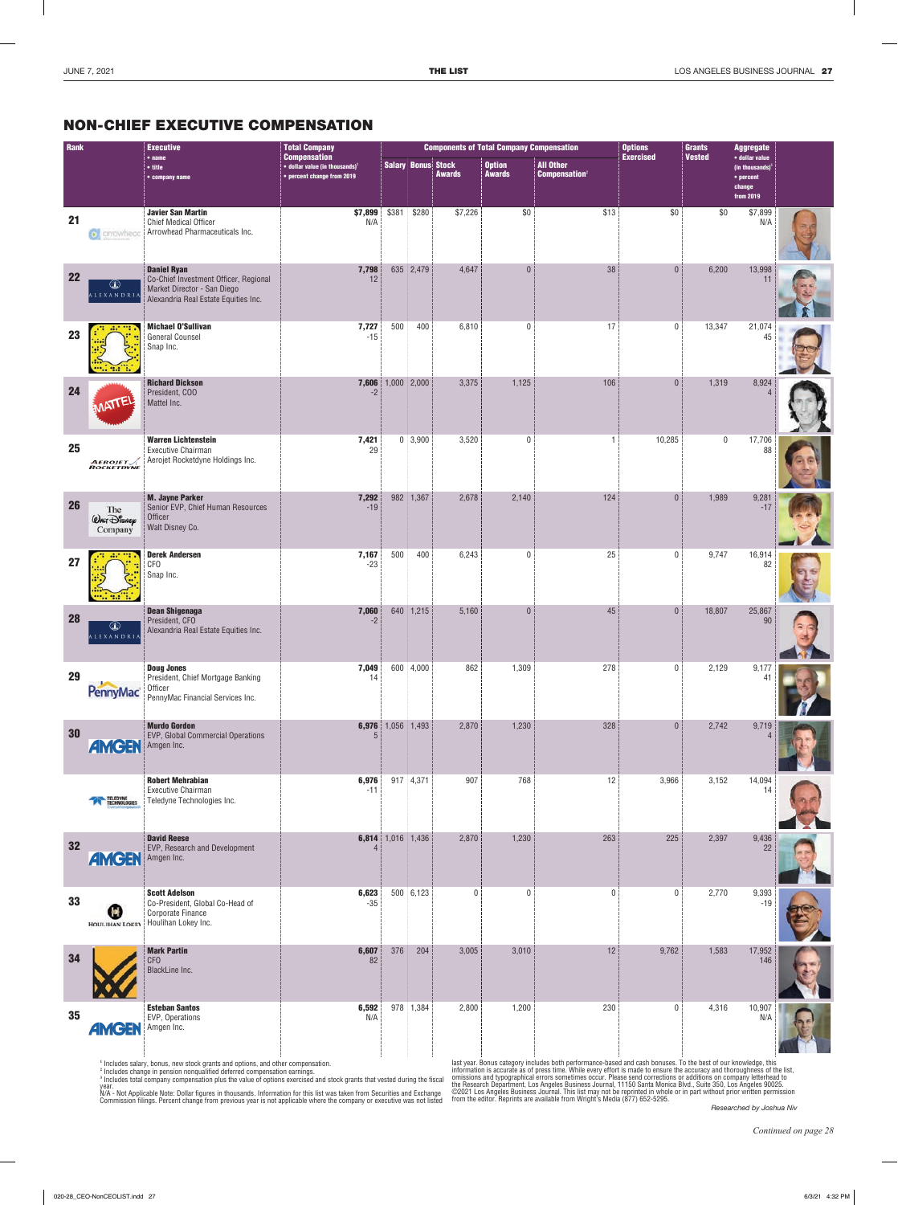## NON-CHIEF EXECUTIVE COMPENSATION

| Rank      |                                             | <b>Executive</b>                                                                                                                   | <b>Total Company</b> |                                                                                                         |                |                           | <b>Components of Total Company Compensation</b> |                                | <b>Options</b><br><b>Exercised</b>                   | <b>Grants</b> | <b>Aggregate</b> |                                                                          |  |
|-----------|---------------------------------------------|------------------------------------------------------------------------------------------------------------------------------------|----------------------|---------------------------------------------------------------------------------------------------------|----------------|---------------------------|-------------------------------------------------|--------------------------------|------------------------------------------------------|---------------|------------------|--------------------------------------------------------------------------|--|
|           |                                             | • title<br>• company name                                                                                                          | $•$ name             | <b>Compensation</b><br>$\bullet$ dollar value (in thousands) <sup>1</sup><br>• percent change from 2019 |                | <b>Salary Bonus Stock</b> | <b>Awards</b>                                   | <b>Option</b><br><b>Awards</b> | <b>All Other</b><br><b>Compensation</b> <sup>2</sup> |               | <b>Vested</b>    | · dollar value<br>(in thousands) $3$<br>• percent<br>change<br>from 2019 |  |
| 21        | c arrowhead                                 | <b>Javier San Martin</b><br>Chief Medical Officer<br>Arrowhead Pharmaceuticals Inc.                                                | \$7,899<br>N/A       | \$381                                                                                                   | \$280          | \$7,226                   | \$0                                             | \$13                           | \$0                                                  | \$0           | \$7,899<br>N/A   |                                                                          |  |
| 22        | Œ<br>A L E X A N D R L                      | <b>Daniel Ryan</b><br>Co-Chief Investment Officer, Regional<br>Market Director - San Diego<br>Alexandria Real Estate Equities Inc. | 7,798<br>12          |                                                                                                         | 635 2,479      | 4,647                     | $\theta$                                        | 38                             | $\mathbf{0}$                                         | 6,200         | 13,998<br>11     |                                                                          |  |
| 23        |                                             | <b>Michael O'Sullivan</b><br><b>General Counsel</b><br>Snap Inc.                                                                   | 7,727<br>$-15$       | 500                                                                                                     | 400            | 6,810                     | $\mathbf{0}$                                    | 17                             | $\mathbf{0}$                                         | 13,347        | 21,074<br>45     |                                                                          |  |
| 24        |                                             | <b>Richard Dickson</b><br>President, COO<br>Mattel Inc.                                                                            | 7,606<br>$-2$        | $1,000$ 2,000                                                                                           |                | 3,375                     | 1,125                                           | 106                            | $\mathbf{0}$                                         | 1,319         | 8,924            |                                                                          |  |
| 25        | <b>AEROJET</b><br>ROCKETDYNE                | <b>Warren Lichtenstein</b><br><b>Executive Chairman</b><br>Aerojet Rocketdyne Holdings Inc.                                        | 7,421<br>29          |                                                                                                         | $0 \mid 3,900$ | 3,520                     | $\mathbf{0}$                                    | $\overline{1}$                 | 10,285                                               | $\mathbf 0$   | 17,706<br>88     |                                                                          |  |
| <b>26</b> | The<br><b><i>QALT DISNEP</i></b><br>Company | <b>M. Jayne Parker</b><br>Senior EVP, Chief Human Resources<br>Officer<br>Walt Disney Co.                                          | 7,292<br>$-19$       |                                                                                                         | 982 1,367      | 2,678                     | 2,140                                           | 124                            | $\theta$                                             | 1,989         | 9,281<br>$-17$   |                                                                          |  |
| 27        |                                             | <b>Derek Andersen</b><br><b>CFO</b><br>Snap Inc.                                                                                   | 7,167<br>$-23$       | 500                                                                                                     | 400            | 6,243                     | $\mathbf{0}$                                    | 25                             | $\mathbf{0}$                                         | 9,747         | 16,914<br>82     |                                                                          |  |
| <b>28</b> | Œ<br>ALEXANDRI.                             | <b>Dean Shigenaga</b><br>President, CFO<br>Alexandria Real Estate Equities Inc.                                                    | 7,060<br>$-2$        |                                                                                                         | 640 1,215      | 5,160                     | $\Omega$                                        | 45                             | $\mathbf{0}$                                         | 18,807        | 25,867<br>90     |                                                                          |  |
| 29        | <b>PennyMac®</b>                            | <b>Doug Jones</b><br>President, Chief Mortgage Banking<br>Officer<br>PennyMac Financial Services Inc.                              | 7,049<br>14          |                                                                                                         | 600 4,000      | 862                       | 1,309                                           | 278                            | $\mathbf 0$                                          | 2,129         | 9,177<br>4       |                                                                          |  |
| 30        | <b>AMGEN</b>                                | <b>Murdo Gordon</b><br>EVP, Global Commercial Operations<br>Amgen Inc.                                                             | 5                    | 6,976 1,056 1,493                                                                                       |                | 2,870                     | 1,230                                           | 328                            | $\mathbf{0}$                                         | 2,742         | 9,719            |                                                                          |  |
|           | <b>TELEDYNE</b><br>TECHNOLOGIES             | <b>Robert Mehrabian</b><br><b>Executive Chairman</b><br>Teledyne Technologies Inc.                                                 | 6,976<br>$-11$       |                                                                                                         | 917 4,371      | 907                       | 768                                             | 12                             | 3,966                                                | 3,152         | 14,094<br>14     |                                                                          |  |
| 32        | <b>AMGEN</b>                                | <b>David Reese</b><br>EVP, Research and Development<br>Amgen Inc.                                                                  | 4                    | 6,814 1,016 1,436                                                                                       |                | 2,870                     | 1,230                                           | 263                            | 225                                                  | 2,397         | 9,436<br>22      |                                                                          |  |
| 33        |                                             | <b>Scott Adelson</b><br>Co-President, Global Co-Head of<br>Corporate Finance<br>HOULIHAN LOKEY HOUIIhan Lokey Inc.                 | 6,623<br>$-35$       |                                                                                                         | 500 6,123      | $\mathbf 0$               | $\mathbf{0}$                                    | $\mathbf 0$                    | $\mathbf 0$                                          | 2,770         | 9,393<br>$-19$   |                                                                          |  |
| 34        |                                             | <b>Mark Partin</b><br><b>CFO</b><br>BlackLine Inc.                                                                                 | 6,607<br>82          | 376                                                                                                     | 204            | 3,005                     | 3,010                                           | 12                             | 9,762                                                | 1,583         | 17,952<br>146    |                                                                          |  |
| 35        | <b>AMGEN</b>                                | <b>Esteban Santos</b><br>EVP, Operations<br>Amgen Inc.                                                                             | 6,592<br>N/A         |                                                                                                         | 978 1,384      | 2,800                     | 1,200                                           | 230                            | $\mathbf 0$                                          | 4,316         | 10,907<br>N/A    |                                                                          |  |

<sup>1</sup> Includes salary, bonus, new stock grants and options, and other compensation.<br><sup>2</sup> Includes change in pension nonqualified deferred compensation earnings.<br><sup>3</sup> Includes total company compensation plus the value of option

year.<br>N/A - Not Applicable Note: Dollar figures in thousands. Information for this list was taken from Securities and Exchange<br>Commission filings. Percent change from previous year is not applicable where the company or ex

last year. Bonus category includes both performance-based and cash bonuses. To the best of our knowledge, this<br>information is accurate as of press time. While every effort is made to ensure the accuracy and thoroughness of

*Researched by Joshua Niv*